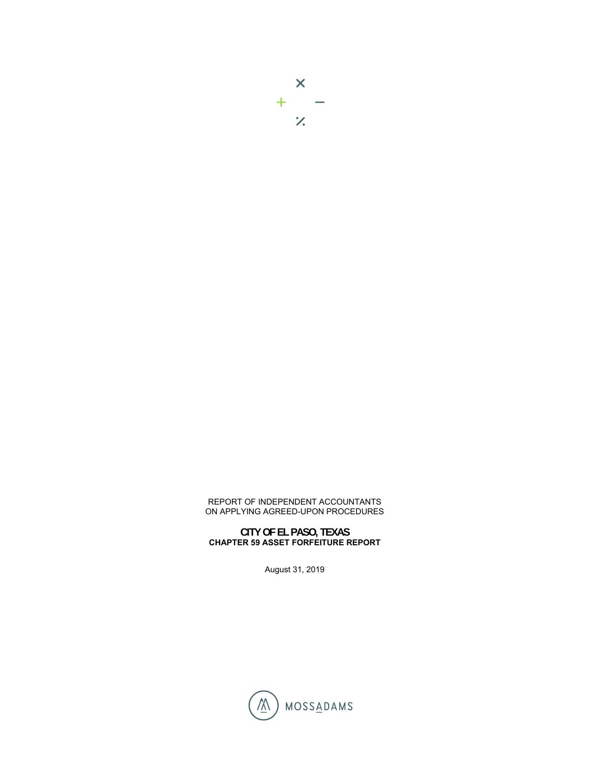## REPORT OF INDEPENDENT ACCOUNTANTS ON APPLYING AGREED-UPON PROCEDURES

## **CITY OF EL PASO, TEXAS CHAPTER 59 ASSET FORFEITURE REPORT**

August 31, 2019

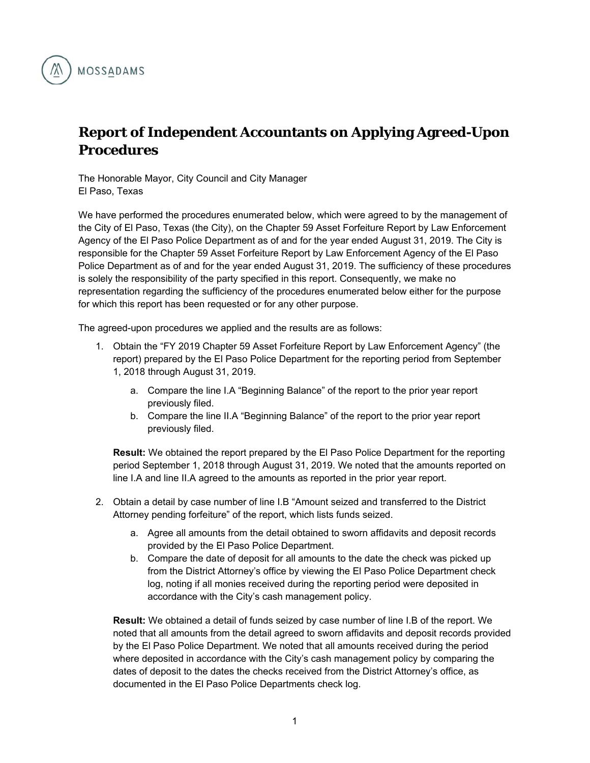

## **Report of Independent Accountants on Applying Agreed-Upon Procedures**

The Honorable Mayor, City Council and City Manager El Paso, Texas

We have performed the procedures enumerated below, which were agreed to by the management of the City of El Paso, Texas (the City), on the Chapter 59 Asset Forfeiture Report by Law Enforcement Agency of the El Paso Police Department as of and for the year ended August 31, 2019. The City is responsible for the Chapter 59 Asset Forfeiture Report by Law Enforcement Agency of the El Paso Police Department as of and for the year ended August 31, 2019. The sufficiency of these procedures is solely the responsibility of the party specified in this report. Consequently, we make no representation regarding the sufficiency of the procedures enumerated below either for the purpose for which this report has been requested or for any other purpose.

The agreed-upon procedures we applied and the results are as follows:

- 1. Obtain the "FY 2019 Chapter 59 Asset Forfeiture Report by Law Enforcement Agency" (the report) prepared by the El Paso Police Department for the reporting period from September 1, 2018 through August 31, 2019.
	- a. Compare the line I.A "Beginning Balance" of the report to the prior year report previously filed.
	- b. Compare the line II.A "Beginning Balance" of the report to the prior year report previously filed.

**Result:** We obtained the report prepared by the El Paso Police Department for the reporting period September 1, 2018 through August 31, 2019. We noted that the amounts reported on line I.A and line II.A agreed to the amounts as reported in the prior year report.

- 2. Obtain a detail by case number of line I.B "Amount seized and transferred to the District Attorney pending forfeiture" of the report, which lists funds seized.
	- a. Agree all amounts from the detail obtained to sworn affidavits and deposit records provided by the El Paso Police Department.
	- b. Compare the date of deposit for all amounts to the date the check was picked up from the District Attorney's office by viewing the El Paso Police Department check log, noting if all monies received during the reporting period were deposited in accordance with the City's cash management policy.

**Result:** We obtained a detail of funds seized by case number of line I.B of the report. We noted that all amounts from the detail agreed to sworn affidavits and deposit records provided by the El Paso Police Department. We noted that all amounts received during the period where deposited in accordance with the City's cash management policy by comparing the dates of deposit to the dates the checks received from the District Attorney's office, as documented in the El Paso Police Departments check log.